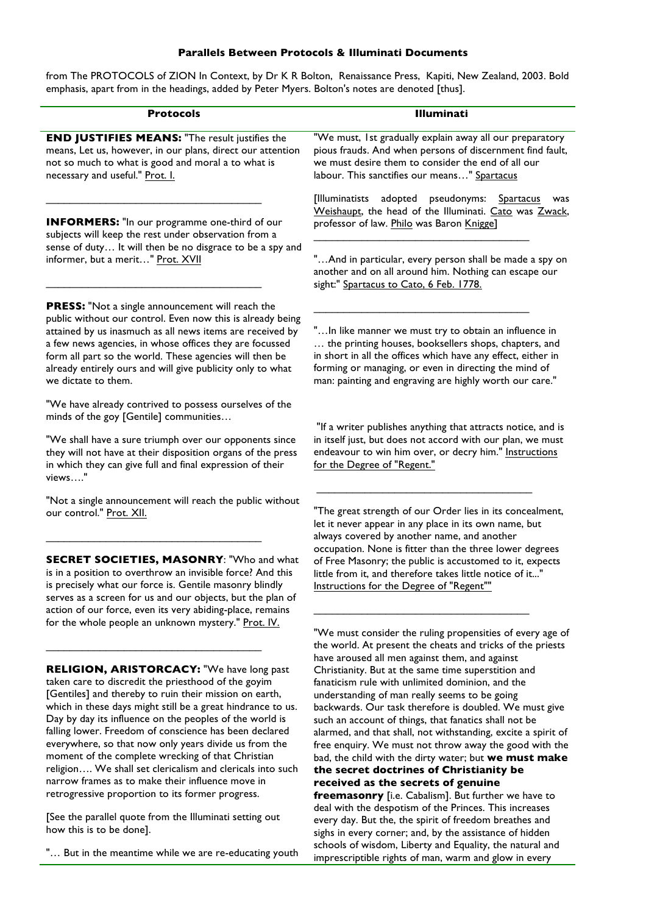## **Parallels Between Protocols & Illuminati Documents**

from The PROTOCOLS of ZION In Context, by Dr K R Bolton, Renaissance Press, Kapiti, New Zealand, 2003. Bold emphasis, apart from in the headings, added by Peter Myers. Bolton's notes are denoted [thus].

| <b>Protocols</b>                                                                                                                                                                                                                                                                                                                                                                                                                                                                                                                                                              | Illuminati                                                                                                                                                                                                                                                                                                                                                                                                                                                                                                                                                                                         |
|-------------------------------------------------------------------------------------------------------------------------------------------------------------------------------------------------------------------------------------------------------------------------------------------------------------------------------------------------------------------------------------------------------------------------------------------------------------------------------------------------------------------------------------------------------------------------------|----------------------------------------------------------------------------------------------------------------------------------------------------------------------------------------------------------------------------------------------------------------------------------------------------------------------------------------------------------------------------------------------------------------------------------------------------------------------------------------------------------------------------------------------------------------------------------------------------|
|                                                                                                                                                                                                                                                                                                                                                                                                                                                                                                                                                                               |                                                                                                                                                                                                                                                                                                                                                                                                                                                                                                                                                                                                    |
| <b>END JUSTIFIES MEANS: "The result justifies the</b><br>means, Let us, however, in our plans, direct our attention<br>not so much to what is good and moral a to what is<br>necessary and useful." Prot. I.                                                                                                                                                                                                                                                                                                                                                                  | "We must, 1st gradually explain away all our preparatory<br>pious frauds. And when persons of discernment find fault,<br>we must desire them to consider the end of all our<br>labour. This sanctifies our means" Spartacus                                                                                                                                                                                                                                                                                                                                                                        |
| <b>INFORMERS:</b> "In our programme one-third of our<br>subjects will keep the rest under observation from a<br>sense of duty It will then be no disgrace to be a spy and<br>informer, but a merit" Prot. XVII                                                                                                                                                                                                                                                                                                                                                                | [Illuminatists<br>adopted pseudonyms:<br><b>Spartacus</b><br>was<br>Weishaupt, the head of the Illuminati. Cato was Zwack,<br>professor of law. Philo was Baron Knigge]                                                                                                                                                                                                                                                                                                                                                                                                                            |
|                                                                                                                                                                                                                                                                                                                                                                                                                                                                                                                                                                               | "And in particular, every person shall be made a spy on<br>another and on all around him. Nothing can escape our<br>sight:" Spartacus to Cato, 6 Feb. 1778.                                                                                                                                                                                                                                                                                                                                                                                                                                        |
| <b>PRESS:</b> "Not a single announcement will reach the<br>public without our control. Even now this is already being<br>attained by us inasmuch as all news items are received by<br>a few news agencies, in whose offices they are focussed<br>form all part so the world. These agencies will then be<br>already entirely ours and will give publicity only to what<br>we dictate to them.                                                                                                                                                                                 | " In like manner we must try to obtain an influence in<br>the printing houses, booksellers shops, chapters, and<br>in short in all the offices which have any effect, either in<br>forming or managing, or even in directing the mind of<br>man: painting and engraving are highly worth our care."                                                                                                                                                                                                                                                                                                |
| "We have already contrived to possess ourselves of the<br>minds of the goy [Gentile] communities                                                                                                                                                                                                                                                                                                                                                                                                                                                                              | "If a writer publishes anything that attracts notice, and is                                                                                                                                                                                                                                                                                                                                                                                                                                                                                                                                       |
| "We shall have a sure triumph over our opponents since<br>they will not have at their disposition organs of the press<br>in which they can give full and final expression of their<br>views"                                                                                                                                                                                                                                                                                                                                                                                  | in itself just, but does not accord with our plan, we must<br>endeavour to win him over, or decry him." Instructions<br>for the Degree of "Regent."                                                                                                                                                                                                                                                                                                                                                                                                                                                |
| "Not a single announcement will reach the public without<br>our control." Prot. XII.                                                                                                                                                                                                                                                                                                                                                                                                                                                                                          | "The great strength of our Order lies in its concealment,<br>let it never appear in any place in its own name, but<br>always covered by another name, and another                                                                                                                                                                                                                                                                                                                                                                                                                                  |
| <b>SECRET SOCIETIES, MASONRY: "Who and what</b><br>is in a position to overthrow an invisible force? And this<br>is precisely what our force is. Gentile masonry blindly<br>serves as a screen for us and our objects, but the plan of<br>action of our force, even its very abiding-place, remains<br>for the whole people an unknown mystery." Prot. IV.                                                                                                                                                                                                                    | occupation. None is fitter than the three lower degrees<br>of Free Masonry; the public is accustomed to it, expects<br>little from it, and therefore takes little notice of it"<br>Instructions for the Degree of "Regent""                                                                                                                                                                                                                                                                                                                                                                        |
|                                                                                                                                                                                                                                                                                                                                                                                                                                                                                                                                                                               | "We must consider the ruling propensities of every age of<br>the world. At present the cheats and tricks of the priests                                                                                                                                                                                                                                                                                                                                                                                                                                                                            |
| RELIGION, ARISTORCACY: "We have long past<br>taken care to discredit the priesthood of the goyim<br>[Gentiles] and thereby to ruin their mission on earth,<br>which in these days might still be a great hindrance to us.<br>Day by day its influence on the peoples of the world is<br>falling lower. Freedom of conscience has been declared<br>everywhere, so that now only years divide us from the<br>moment of the complete wrecking of that Christian<br>religion We shall set clericalism and clericals into such<br>narrow frames as to make their influence move in | have aroused all men against them, and against<br>Christianity. But at the same time superstition and<br>fanaticism rule with unlimited dominion, and the<br>understanding of man really seems to be going<br>backwards. Our task therefore is doubled. We must give<br>such an account of things, that fanatics shall not be<br>alarmed, and that shall, not withstanding, excite a spirit of<br>free enquiry. We must not throw away the good with the<br>bad, the child with the dirty water; but we must make<br>the secret doctrines of Christianity be<br>received as the secrets of genuine |
| retrogressive proportion to its former progress.                                                                                                                                                                                                                                                                                                                                                                                                                                                                                                                              | freemasonry [i.e. Cabalism]. But further we have to<br>deal with the despotism of the Princes. This increases                                                                                                                                                                                                                                                                                                                                                                                                                                                                                      |

[See the parallel quote from the Illuminati setting out how this is to be done].

"… But in the meantime while we are re-educating youth

deal with the despotism of the Princes. This increases every day. But the, the spirit of freedom breathes and sighs in every corner; and, by the assistance of hidden schools of wisdom, Liberty and Equality, the natural and imprescriptible rights of man, warm and glow in every